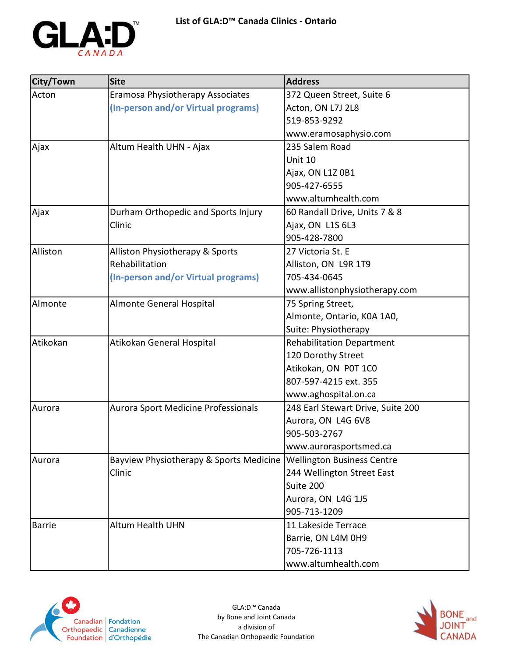

| City/Town     | <b>Site</b>                             | <b>Address</b>                    |
|---------------|-----------------------------------------|-----------------------------------|
| Acton         | Eramosa Physiotherapy Associates        | 372 Queen Street, Suite 6         |
|               | (In-person and/or Virtual programs)     | Acton, ON L7J 2L8                 |
|               |                                         | 519-853-9292                      |
|               |                                         | www.eramosaphysio.com             |
| Ajax          | Altum Health UHN - Ajax                 | 235 Salem Road                    |
|               |                                         | Unit 10                           |
|               |                                         | Ajax, ON L1Z 0B1                  |
|               |                                         | 905-427-6555                      |
|               |                                         | www.altumhealth.com               |
| Ajax          | Durham Orthopedic and Sports Injury     | 60 Randall Drive, Units 7 & 8     |
|               | Clinic                                  | Ajax, ON L1S 6L3                  |
|               |                                         | 905-428-7800                      |
| Alliston      | Alliston Physiotherapy & Sports         | 27 Victoria St. E                 |
|               | Rehabilitation                          | Alliston, ON L9R 1T9              |
|               | (In-person and/or Virtual programs)     | 705-434-0645                      |
|               |                                         | www.allistonphysiotherapy.com     |
| Almonte       | Almonte General Hospital                | 75 Spring Street,                 |
|               |                                         | Almonte, Ontario, K0A 1A0,        |
|               |                                         | Suite: Physiotherapy              |
| Atikokan      | Atikokan General Hospital               | <b>Rehabilitation Department</b>  |
|               |                                         | 120 Dorothy Street                |
|               |                                         | Atikokan, ON P0T 1C0              |
|               |                                         | 807-597-4215 ext. 355             |
|               |                                         | www.aghospital.on.ca              |
| Aurora        | Aurora Sport Medicine Professionals     | 248 Earl Stewart Drive, Suite 200 |
|               |                                         | Aurora, ON L4G 6V8                |
|               |                                         | 905-503-2767                      |
|               |                                         | www.aurorasportsmed.ca            |
| Aurora        | Bayview Physiotherapy & Sports Medicine | <b>Wellington Business Centre</b> |
|               | Clinic                                  | 244 Wellington Street East        |
|               |                                         | Suite 200                         |
|               |                                         | Aurora, ON L4G 1J5                |
|               |                                         | 905-713-1209                      |
| <b>Barrie</b> | <b>Altum Health UHN</b>                 | 11 Lakeside Terrace               |
|               |                                         | Barrie, ON L4M 0H9                |
|               |                                         | 705-726-1113                      |
|               |                                         | www.altumhealth.com               |



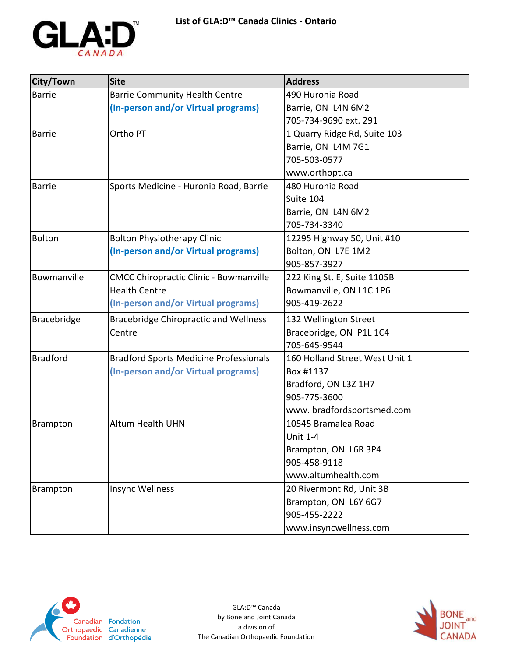

| City/Town       | <b>Site</b>                                   | <b>Address</b>                 |
|-----------------|-----------------------------------------------|--------------------------------|
| <b>Barrie</b>   | <b>Barrie Community Health Centre</b>         | 490 Huronia Road               |
|                 | (In-person and/or Virtual programs)           | Barrie, ON L4N 6M2             |
|                 |                                               | 705-734-9690 ext. 291          |
| <b>Barrie</b>   | Ortho PT                                      | 1 Quarry Ridge Rd, Suite 103   |
|                 |                                               | Barrie, ON L4M 7G1             |
|                 |                                               | 705-503-0577                   |
|                 |                                               | www.orthopt.ca                 |
| <b>Barrie</b>   | Sports Medicine - Huronia Road, Barrie        | 480 Huronia Road               |
|                 |                                               | Suite 104                      |
|                 |                                               | Barrie, ON L4N 6M2             |
|                 |                                               | 705-734-3340                   |
| <b>Bolton</b>   | <b>Bolton Physiotherapy Clinic</b>            | 12295 Highway 50, Unit #10     |
|                 | (In-person and/or Virtual programs)           | Bolton, ON L7E 1M2             |
|                 |                                               | 905-857-3927                   |
| Bowmanville     | <b>CMCC Chiropractic Clinic - Bowmanville</b> | 222 King St. E, Suite 1105B    |
|                 | <b>Health Centre</b>                          | Bowmanville, ON L1C 1P6        |
|                 | (In-person and/or Virtual programs)           | 905-419-2622                   |
| Bracebridge     | <b>Bracebridge Chiropractic and Wellness</b>  | 132 Wellington Street          |
|                 | Centre                                        | Bracebridge, ON P1L 1C4        |
|                 |                                               | 705-645-9544                   |
| <b>Bradford</b> | <b>Bradford Sports Medicine Professionals</b> | 160 Holland Street West Unit 1 |
|                 | (In-person and/or Virtual programs)           | Box #1137                      |
|                 |                                               | Bradford, ON L3Z 1H7           |
|                 |                                               | 905-775-3600                   |
|                 |                                               | www.bradfordsportsmed.com      |
| <b>Brampton</b> | Altum Health UHN                              | 10545 Bramalea Road            |
|                 |                                               | <b>Unit 1-4</b>                |
|                 |                                               | Brampton, ON L6R 3P4           |
|                 |                                               | 905-458-9118                   |
|                 |                                               | www.altumhealth.com            |
| Brampton        | Insync Wellness                               | 20 Rivermont Rd, Unit 3B       |
|                 |                                               | Brampton, ON L6Y 6G7           |
|                 |                                               | 905-455-2222                   |
|                 |                                               | www.insyncwellness.com         |



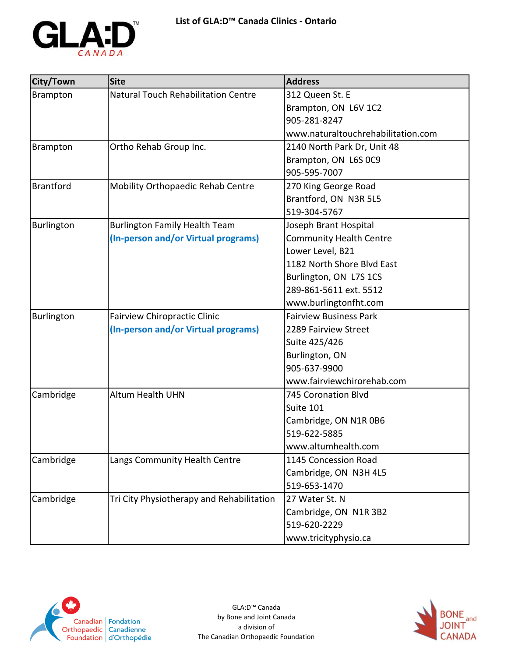

| City/Town         | <b>Site</b>                                | <b>Address</b>                     |
|-------------------|--------------------------------------------|------------------------------------|
| Brampton          | <b>Natural Touch Rehabilitation Centre</b> | 312 Queen St. E                    |
|                   |                                            | Brampton, ON L6V 1C2               |
|                   |                                            | 905-281-8247                       |
|                   |                                            | www.naturaltouchrehabilitation.com |
| Brampton          | Ortho Rehab Group Inc.                     | 2140 North Park Dr, Unit 48        |
|                   |                                            | Brampton, ON L6S 0C9               |
|                   |                                            | 905-595-7007                       |
| <b>Brantford</b>  | Mobility Orthopaedic Rehab Centre          | 270 King George Road               |
|                   |                                            | Brantford, ON N3R 5L5              |
|                   |                                            | 519-304-5767                       |
| <b>Burlington</b> | <b>Burlington Family Health Team</b>       | Joseph Brant Hospital              |
|                   | (In-person and/or Virtual programs)        | <b>Community Health Centre</b>     |
|                   |                                            | Lower Level, B21                   |
|                   |                                            | 1182 North Shore Blvd East         |
|                   |                                            | Burlington, ON L7S 1CS             |
|                   |                                            | 289-861-5611 ext. 5512             |
|                   |                                            | www.burlingtonfht.com              |
| Burlington        | <b>Fairview Chiropractic Clinic</b>        | <b>Fairview Business Park</b>      |
|                   | (In-person and/or Virtual programs)        | 2289 Fairview Street               |
|                   |                                            | Suite 425/426                      |
|                   |                                            | Burlington, ON                     |
|                   |                                            | 905-637-9900                       |
|                   |                                            | www.fairviewchirorehab.com         |
| Cambridge         | Altum Health UHN                           | <b>745 Coronation Blvd</b>         |
|                   |                                            | Suite 101                          |
|                   |                                            | Cambridge, ON N1R 0B6              |
|                   |                                            | 519-622-5885                       |
|                   |                                            | www.altumhealth.com                |
| Cambridge         | Langs Community Health Centre              | 1145 Concession Road               |
|                   |                                            | Cambridge, ON N3H 4L5              |
|                   |                                            | 519-653-1470                       |
| Cambridge         | Tri City Physiotherapy and Rehabilitation  | 27 Water St. N                     |
|                   |                                            | Cambridge, ON N1R 3B2              |
|                   |                                            | 519-620-2229                       |
|                   |                                            | www.tricityphysio.ca               |



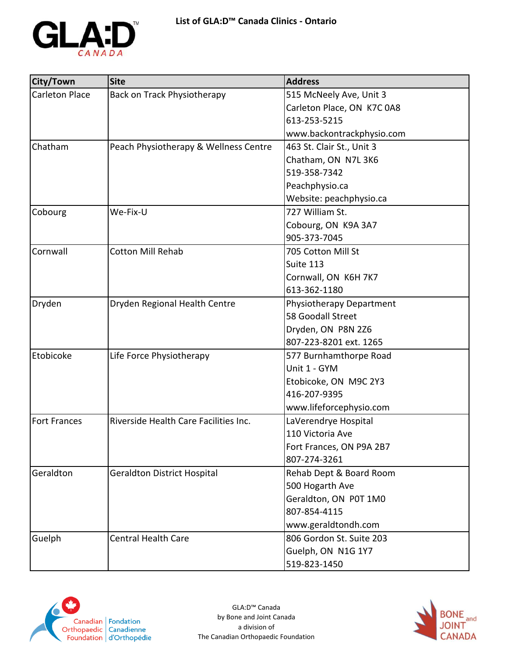

| City/Town             | <b>Site</b>                           | <b>Address</b>             |
|-----------------------|---------------------------------------|----------------------------|
| <b>Carleton Place</b> | Back on Track Physiotherapy           | 515 McNeely Ave, Unit 3    |
|                       |                                       | Carleton Place, ON K7C 0A8 |
|                       |                                       | 613-253-5215               |
|                       |                                       | www.backontrackphysio.com  |
| Chatham               | Peach Physiotherapy & Wellness Centre | 463 St. Clair St., Unit 3  |
|                       |                                       | Chatham, ON N7L 3K6        |
|                       |                                       | 519-358-7342               |
|                       |                                       | Peachphysio.ca             |
|                       |                                       | Website: peachphysio.ca    |
| Cobourg               | We-Fix-U                              | 727 William St.            |
|                       |                                       | Cobourg, ON K9A 3A7        |
|                       |                                       | 905-373-7045               |
| Cornwall              | <b>Cotton Mill Rehab</b>              | 705 Cotton Mill St         |
|                       |                                       | Suite 113                  |
|                       |                                       | Cornwall, ON K6H 7K7       |
|                       |                                       | 613-362-1180               |
| Dryden                | Dryden Regional Health Centre         | Physiotherapy Department   |
|                       |                                       | 58 Goodall Street          |
|                       |                                       | Dryden, ON P8N 2Z6         |
|                       |                                       | 807-223-8201 ext. 1265     |
| Etobicoke             | Life Force Physiotherapy              | 577 Burnhamthorpe Road     |
|                       |                                       | Unit 1 - GYM               |
|                       |                                       | Etobicoke, ON M9C 2Y3      |
|                       |                                       | 416-207-9395               |
|                       |                                       | www.lifeforcephysio.com    |
| <b>Fort Frances</b>   | Riverside Health Care Facilities Inc. | LaVerendrye Hospital       |
|                       |                                       | 110 Victoria Ave           |
|                       |                                       | Fort Frances, ON P9A 2B7   |
|                       |                                       | 807-274-3261               |
| Geraldton             | <b>Geraldton District Hospital</b>    | Rehab Dept & Board Room    |
|                       |                                       | 500 Hogarth Ave            |
|                       |                                       | Geraldton, ON P0T 1M0      |
|                       |                                       | 807-854-4115               |
|                       |                                       | www.geraldtondh.com        |
| Guelph                | <b>Central Health Care</b>            | 806 Gordon St. Suite 203   |
|                       |                                       | Guelph, ON N1G 1Y7         |
|                       |                                       | 519-823-1450               |



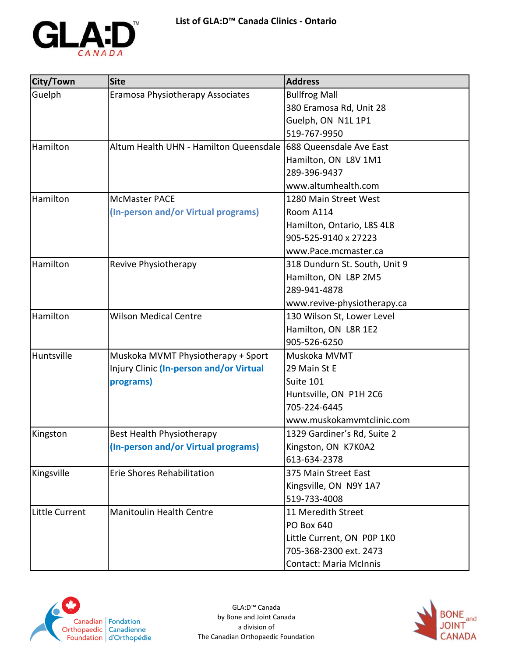

| <b>City/Town</b> | <b>Site</b>                                                    | <b>Address</b>                |
|------------------|----------------------------------------------------------------|-------------------------------|
| Guelph           | Eramosa Physiotherapy Associates                               | <b>Bullfrog Mall</b>          |
|                  |                                                                | 380 Eramosa Rd, Unit 28       |
|                  |                                                                | Guelph, ON N1L 1P1            |
|                  |                                                                | 519-767-9950                  |
| Hamilton         | Altum Health UHN - Hamilton Queensdale 688 Queensdale Ave East |                               |
|                  |                                                                | Hamilton, ON L8V 1M1          |
|                  |                                                                | 289-396-9437                  |
|                  |                                                                | www.altumhealth.com           |
| Hamilton         | <b>McMaster PACE</b>                                           | 1280 Main Street West         |
|                  | (In-person and/or Virtual programs)                            | Room A114                     |
|                  |                                                                | Hamilton, Ontario, L8S 4L8    |
|                  |                                                                | 905-525-9140 x 27223          |
|                  |                                                                | www.Pace.mcmaster.ca          |
| Hamilton         | Revive Physiotherapy                                           | 318 Dundurn St. South, Unit 9 |
|                  |                                                                | Hamilton, ON L8P 2M5          |
|                  |                                                                | 289-941-4878                  |
|                  |                                                                | www.revive-physiotherapy.ca   |
| Hamilton         | <b>Wilson Medical Centre</b>                                   | 130 Wilson St, Lower Level    |
|                  |                                                                | Hamilton, ON L8R 1E2          |
|                  |                                                                | 905-526-6250                  |
| Huntsville       | Muskoka MVMT Physiotherapy + Sport                             | Muskoka MVMT                  |
|                  | Injury Clinic (In-person and/or Virtual                        | 29 Main St E                  |
|                  | programs)                                                      | Suite 101                     |
|                  |                                                                | Huntsville, ON P1H 2C6        |
|                  |                                                                | 705-224-6445                  |
|                  |                                                                | www.muskokamvmtclinic.com     |
| Kingston         | Best Health Physiotherapy                                      | 1329 Gardiner's Rd, Suite 2   |
|                  | (In-person and/or Virtual programs)                            | Kingston, ON K7K0A2           |
|                  |                                                                | 613-634-2378                  |
| Kingsville       | <b>Erie Shores Rehabilitation</b>                              | 375 Main Street East          |
|                  |                                                                | Kingsville, ON N9Y 1A7        |
|                  |                                                                | 519-733-4008                  |
| Little Current   | <b>Manitoulin Health Centre</b>                                | 11 Meredith Street            |
|                  |                                                                | <b>PO Box 640</b>             |
|                  |                                                                | Little Current, ON POP 1KO    |
|                  |                                                                | 705-368-2300 ext. 2473        |
|                  |                                                                | <b>Contact: Maria McInnis</b> |



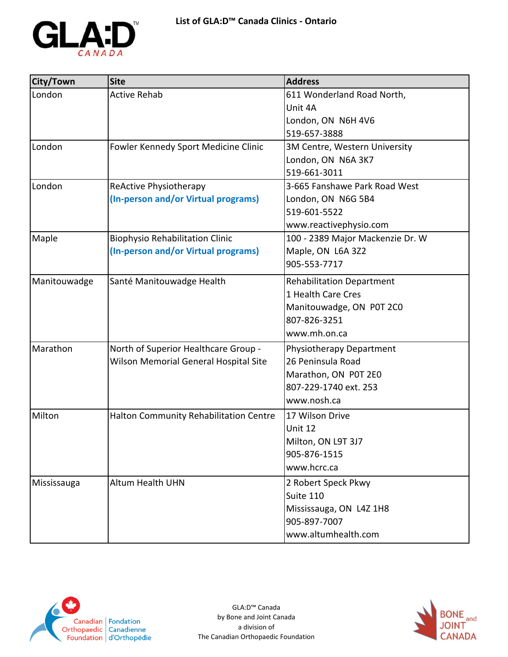

| City/Town    | <b>Site</b>                            | <b>Address</b>                   |
|--------------|----------------------------------------|----------------------------------|
| London       | <b>Active Rehab</b>                    | 611 Wonderland Road North,       |
|              |                                        | Unit 4A                          |
|              |                                        | London, ON N6H 4V6               |
|              |                                        | 519-657-3888                     |
| London       | Fowler Kennedy Sport Medicine Clinic   | 3M Centre, Western University    |
|              |                                        | London, ON N6A 3K7               |
|              |                                        | 519-661-3011                     |
| London       | ReActive Physiotherapy                 | 3-665 Fanshawe Park Road West    |
|              | (In-person and/or Virtual programs)    | London, ON N6G 5B4               |
|              |                                        | 519-601-5522                     |
|              |                                        | www.reactivephysio.com           |
| Maple        | <b>Biophysio Rehabilitation Clinic</b> | 100 - 2389 Major Mackenzie Dr. W |
|              | (In-person and/or Virtual programs)    | Maple, ON L6A 3Z2                |
|              |                                        | 905-553-7717                     |
| Manitouwadge | Santé Manitouwadge Health              | <b>Rehabilitation Department</b> |
|              |                                        | 1 Health Care Cres               |
|              |                                        | Manitouwadge, ON P0T 2C0         |
|              |                                        | 807-826-3251                     |
|              |                                        | www.mh.on.ca                     |
| Marathon     | North of Superior Healthcare Group -   | Physiotherapy Department         |
|              | Wilson Memorial General Hospital Site  | 26 Peninsula Road                |
|              |                                        | Marathon, ON P0T 2E0             |
|              |                                        | 807-229-1740 ext. 253            |
|              |                                        | www.nosh.ca                      |
| Milton       | Halton Community Rehabilitation Centre | 17 Wilson Drive                  |
|              |                                        | Unit 12                          |
|              |                                        | Milton, ON L9T 3J7               |
|              |                                        | 905-876-1515                     |
|              |                                        | www.hcrc.ca                      |
| Mississauga  | <b>Altum Health UHN</b>                | 2 Robert Speck Pkwy              |
|              |                                        | Suite 110                        |
|              |                                        | Mississauga, ON L4Z 1H8          |
|              |                                        | 905-897-7007                     |
|              |                                        | www.altumhealth.com              |



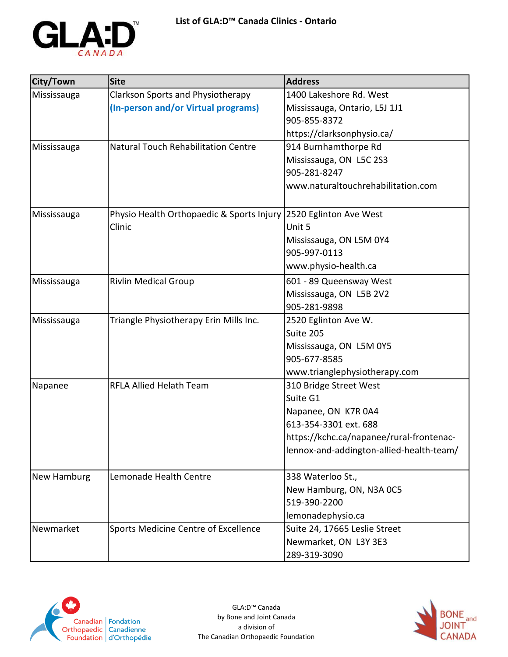

| City/Town   | <b>Site</b>                                                      | <b>Address</b>                           |
|-------------|------------------------------------------------------------------|------------------------------------------|
| Mississauga | <b>Clarkson Sports and Physiotherapy</b>                         | 1400 Lakeshore Rd. West                  |
|             | (In-person and/or Virtual programs)                              | Mississauga, Ontario, L5J 1J1            |
|             |                                                                  | 905-855-8372                             |
|             |                                                                  | https://clarksonphysio.ca/               |
| Mississauga | Natural Touch Rehabilitation Centre                              | 914 Burnhamthorpe Rd                     |
|             |                                                                  | Mississauga, ON L5C 2S3                  |
|             |                                                                  | 905-281-8247                             |
|             |                                                                  | www.naturaltouchrehabilitation.com       |
|             |                                                                  |                                          |
| Mississauga | Physio Health Orthopaedic & Sports Injury 2520 Eglinton Ave West |                                          |
|             | Clinic                                                           | Unit 5                                   |
|             |                                                                  | Mississauga, ON L5M 0Y4                  |
|             |                                                                  | 905-997-0113                             |
|             |                                                                  | www.physio-health.ca                     |
| Mississauga | <b>Rivlin Medical Group</b>                                      | 601 - 89 Queensway West                  |
|             |                                                                  | Mississauga, ON L5B 2V2                  |
|             |                                                                  | 905-281-9898                             |
| Mississauga | Triangle Physiotherapy Erin Mills Inc.                           | 2520 Eglinton Ave W.                     |
|             |                                                                  | Suite 205                                |
|             |                                                                  | Mississauga, ON L5M 0Y5                  |
|             |                                                                  | 905-677-8585                             |
|             |                                                                  | www.trianglephysiotherapy.com            |
| Napanee     | <b>RFLA Allied Helath Team</b>                                   | 310 Bridge Street West                   |
|             |                                                                  | Suite G1                                 |
|             |                                                                  | Napanee, ON K7R 0A4                      |
|             |                                                                  | 613-354-3301 ext. 688                    |
|             |                                                                  | https://kchc.ca/napanee/rural-frontenac- |
|             |                                                                  | lennox-and-addington-allied-health-team/ |
| New Hamburg | Lemonade Health Centre                                           | 338 Waterloo St.,                        |
|             |                                                                  | New Hamburg, ON, N3A 0C5                 |
|             |                                                                  | 519-390-2200                             |
|             |                                                                  | lemonadephysio.ca                        |
| Newmarket   | Sports Medicine Centre of Excellence                             | Suite 24, 17665 Leslie Street            |
|             |                                                                  | Newmarket, ON L3Y 3E3                    |
|             |                                                                  | 289-319-3090                             |



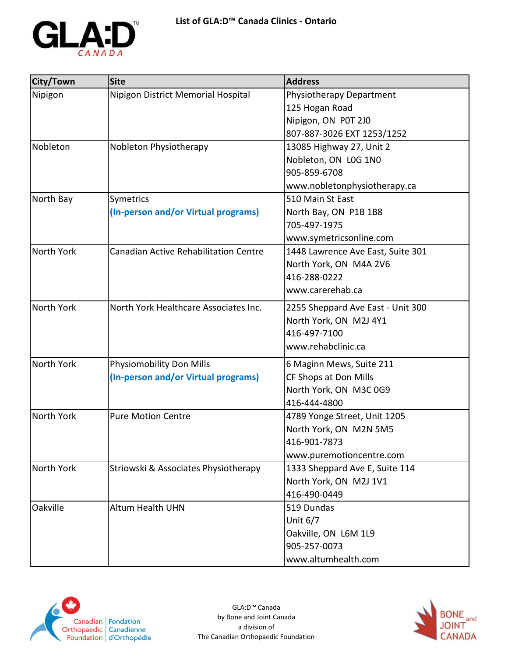

| City/Town  | <b>Site</b>                                  | <b>Address</b>                    |
|------------|----------------------------------------------|-----------------------------------|
| Nipigon    | Nipigon District Memorial Hospital           | Physiotherapy Department          |
|            |                                              | 125 Hogan Road                    |
|            |                                              | Nipigon, ON P0T 2J0               |
|            |                                              | 807-887-3026 EXT 1253/1252        |
| Nobleton   | Nobleton Physiotherapy                       | 13085 Highway 27, Unit 2          |
|            |                                              | Nobleton, ON L0G 1N0              |
|            |                                              | 905-859-6708                      |
|            |                                              | www.nobletonphysiotherapy.ca      |
| North Bay  | Symetrics                                    | 510 Main St East                  |
|            | (In-person and/or Virtual programs)          | North Bay, ON P1B 1B8             |
|            |                                              | 705-497-1975                      |
|            |                                              | www.symetricsonline.com           |
| North York | <b>Canadian Active Rehabilitation Centre</b> | 1448 Lawrence Ave East, Suite 301 |
|            |                                              | North York, ON M4A 2V6            |
|            |                                              | 416-288-0222                      |
|            |                                              | www.carerehab.ca                  |
| North York | North York Healthcare Associates Inc.        | 2255 Sheppard Ave East - Unit 300 |
|            |                                              | North York, ON M2J 4Y1            |
|            |                                              | 416-497-7100                      |
|            |                                              | www.rehabclinic.ca                |
| North York | <b>Physiomobility Don Mills</b>              | 6 Maginn Mews, Suite 211          |
|            | (In-person and/or Virtual programs)          | CF Shops at Don Mills             |
|            |                                              | North York, ON M3C 0G9            |
|            |                                              | 416-444-4800                      |
| North York | <b>Pure Motion Centre</b>                    | 4789 Yonge Street, Unit 1205      |
|            |                                              | North York, ON M2N 5M5            |
|            |                                              | 416-901-7873                      |
|            |                                              | www.puremotioncentre.com          |
| North York | Striowski & Associates Physiotherapy         | 1333 Sheppard Ave E, Suite 114    |
|            |                                              | North York, ON M2J 1V1            |
|            |                                              | 416-490-0449                      |
| Oakville   | <b>Altum Health UHN</b>                      | 519 Dundas                        |
|            |                                              | Unit $6/7$                        |
|            |                                              | Oakville, ON L6M 1L9              |
|            |                                              | 905-257-0073                      |
|            |                                              | www.altumhealth.com               |



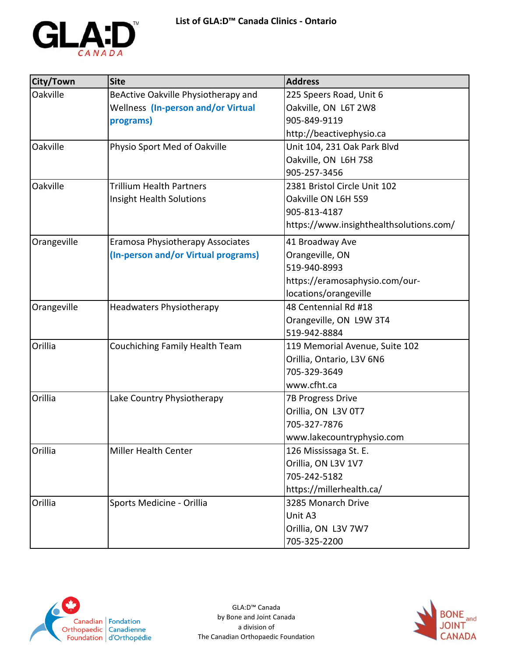

| City/Town   | <b>Site</b>                         | <b>Address</b>                          |
|-------------|-------------------------------------|-----------------------------------------|
| Oakville    | BeActive Oakville Physiotherapy and | 225 Speers Road, Unit 6                 |
|             | Wellness (In-person and/or Virtual  | Oakville, ON L6T 2W8                    |
|             | programs)                           | 905-849-9119                            |
|             |                                     | http://beactivephysio.ca                |
| Oakville    | Physio Sport Med of Oakville        | Unit 104, 231 Oak Park Blvd             |
|             |                                     | Oakville, ON L6H 7S8                    |
|             |                                     | 905-257-3456                            |
| Oakville    | <b>Trillium Health Partners</b>     | 2381 Bristol Circle Unit 102            |
|             | Insight Health Solutions            | Oakville ON L6H 5S9                     |
|             |                                     | 905-813-4187                            |
|             |                                     | https://www.insighthealthsolutions.com/ |
| Orangeville | Eramosa Physiotherapy Associates    | 41 Broadway Ave                         |
|             | (In-person and/or Virtual programs) | Orangeville, ON                         |
|             |                                     | 519-940-8993                            |
|             |                                     | https://eramosaphysio.com/our-          |
|             |                                     | locations/orangeville                   |
| Orangeville | <b>Headwaters Physiotherapy</b>     | 48 Centennial Rd #18                    |
|             |                                     | Orangeville, ON L9W 3T4                 |
|             |                                     | 519-942-8884                            |
| Orillia     | Couchiching Family Health Team      | 119 Memorial Avenue, Suite 102          |
|             |                                     | Orillia, Ontario, L3V 6N6               |
|             |                                     | 705-329-3649                            |
|             |                                     | www.cfht.ca                             |
| Orillia     | Lake Country Physiotherapy          | <b>7B Progress Drive</b>                |
|             |                                     | Orillia, ON L3V 0T7                     |
|             |                                     | 705-327-7876                            |
|             |                                     | www.lakecountryphysio.com               |
| Orillia     | Miller Health Center                | 126 Mississaga St. E.                   |
|             |                                     | Orillia, ON L3V 1V7                     |
|             |                                     | 705-242-5182                            |
|             |                                     | https://millerhealth.ca/                |
| Orillia     | Sports Medicine - Orillia           | 3285 Monarch Drive                      |
|             |                                     | Unit A3                                 |
|             |                                     | Orillia, ON L3V 7W7                     |
|             |                                     | 705-325-2200                            |



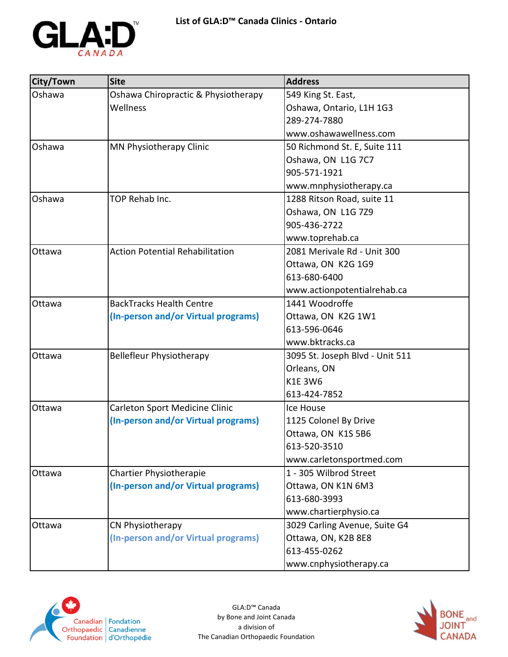

| City/Town | <b>Site</b>                            | <b>Address</b>                  |
|-----------|----------------------------------------|---------------------------------|
| Oshawa    | Oshawa Chiropractic & Physiotherapy    | 549 King St. East,              |
|           | Wellness                               | Oshawa, Ontario, L1H 1G3        |
|           |                                        | 289-274-7880                    |
|           |                                        | www.oshawawellness.com          |
| Oshawa    | MN Physiotherapy Clinic                | 50 Richmond St. E, Suite 111    |
|           |                                        | Oshawa, ON L1G 7C7              |
|           |                                        | 905-571-1921                    |
|           |                                        | www.mnphysiotherapy.ca          |
| Oshawa    | TOP Rehab Inc.                         | 1288 Ritson Road, suite 11      |
|           |                                        | Oshawa, ON L1G 7Z9              |
|           |                                        | 905-436-2722                    |
|           |                                        | www.toprehab.ca                 |
| Ottawa    | <b>Action Potential Rehabilitation</b> | 2081 Merivale Rd - Unit 300     |
|           |                                        | Ottawa, ON K2G 1G9              |
|           |                                        | 613-680-6400                    |
|           |                                        | www.actionpotentialrehab.ca     |
| Ottawa    | <b>BackTracks Health Centre</b>        | 1441 Woodroffe                  |
|           | (In-person and/or Virtual programs)    | Ottawa, ON K2G 1W1              |
|           |                                        | 613-596-0646                    |
|           |                                        | www.bktracks.ca                 |
| Ottawa    | <b>Bellefleur Physiotherapy</b>        | 3095 St. Joseph Blvd - Unit 511 |
|           |                                        | Orleans, ON                     |
|           |                                        | <b>K1E 3W6</b>                  |
|           |                                        | 613-424-7852                    |
| Ottawa    | Carleton Sport Medicine Clinic         | Ice House                       |
|           | (In-person and/or Virtual programs)    | 1125 Colonel By Drive           |
|           |                                        | Ottawa, ON K1S 5B6              |
|           |                                        | 613-520-3510                    |
|           |                                        | www.carletonsportmed.com        |
| Ottawa    | Chartier Physiotherapie                | 1 - 305 Wilbrod Street          |
|           | (In-person and/or Virtual programs)    | Ottawa, ON K1N 6M3              |
|           |                                        | 613-680-3993                    |
|           |                                        | www.chartierphysio.ca           |
| Ottawa    | CN Physiotherapy                       | 3029 Carling Avenue, Suite G4   |
|           | (In-person and/or Virtual programs)    | Ottawa, ON, K2B 8E8             |
|           |                                        | 613-455-0262                    |
|           |                                        | www.cnphysiotherapy.ca          |



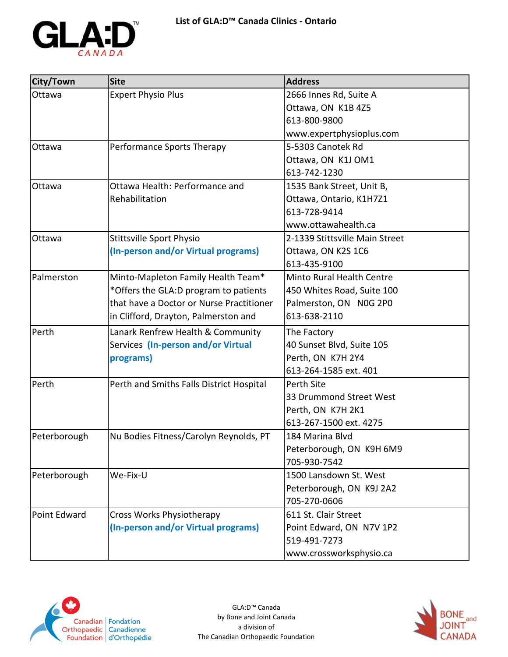

| City/Town    | <b>Site</b>                              | <b>Address</b>                 |
|--------------|------------------------------------------|--------------------------------|
| Ottawa       | <b>Expert Physio Plus</b>                | 2666 Innes Rd, Suite A         |
|              |                                          | Ottawa, ON K1B 4Z5             |
|              |                                          | 613-800-9800                   |
|              |                                          | www.expertphysioplus.com       |
| Ottawa       | Performance Sports Therapy               | 5-5303 Canotek Rd              |
|              |                                          | Ottawa, ON K1J OM1             |
|              |                                          | 613-742-1230                   |
| Ottawa       | Ottawa Health: Performance and           | 1535 Bank Street, Unit B,      |
|              | Rehabilitation                           | Ottawa, Ontario, K1H7Z1        |
|              |                                          | 613-728-9414                   |
|              |                                          | www.ottawahealth.ca            |
| Ottawa       | <b>Stittsville Sport Physio</b>          | 2-1339 Stittsville Main Street |
|              | (In-person and/or Virtual programs)      | Ottawa, ON K2S 1C6             |
|              |                                          | 613-435-9100                   |
| Palmerston   | Minto-Mapleton Family Health Team*       | Minto Rural Health Centre      |
|              | *Offers the GLA:D program to patients    | 450 Whites Road, Suite 100     |
|              | that have a Doctor or Nurse Practitioner | Palmerston, ON N0G 2P0         |
|              | in Clifford, Drayton, Palmerston and     | 613-638-2110                   |
| Perth        | Lanark Renfrew Health & Community        | The Factory                    |
|              | Services (In-person and/or Virtual       | 40 Sunset Blvd, Suite 105      |
|              | programs)                                | Perth, ON K7H 2Y4              |
|              |                                          | 613-264-1585 ext. 401          |
| Perth        | Perth and Smiths Falls District Hospital | Perth Site                     |
|              |                                          | 33 Drummond Street West        |
|              |                                          | Perth, ON K7H 2K1              |
|              |                                          | 613-267-1500 ext. 4275         |
| Peterborough | Nu Bodies Fitness/Carolyn Reynolds, PT   | 184 Marina Blvd                |
|              |                                          | Peterborough, ON K9H 6M9       |
|              |                                          | 705-930-7542                   |
| Peterborough | We-Fix-U                                 | 1500 Lansdown St. West         |
|              |                                          | Peterborough, ON K9J 2A2       |
|              |                                          | 705-270-0606                   |
| Point Edward | <b>Cross Works Physiotherapy</b>         | 611 St. Clair Street           |
|              | (In-person and/or Virtual programs)      | Point Edward, ON N7V 1P2       |
|              |                                          | 519-491-7273                   |
|              |                                          | www.crossworksphysio.ca        |



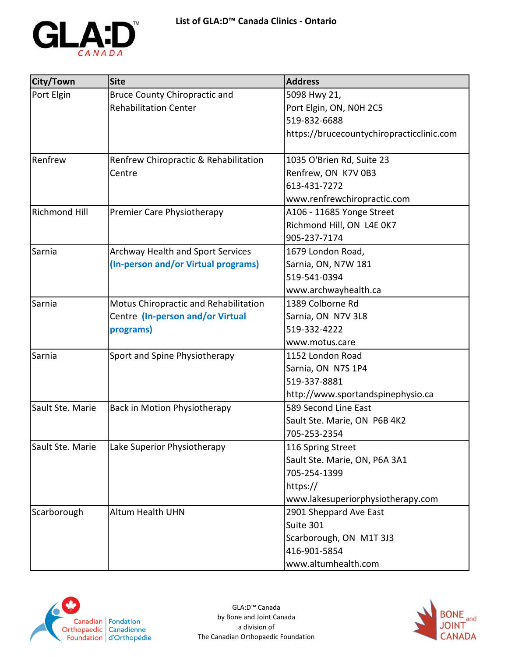

| City/Town            | <b>Site</b>                           | <b>Address</b>                            |
|----------------------|---------------------------------------|-------------------------------------------|
| Port Elgin           | <b>Bruce County Chiropractic and</b>  | 5098 Hwy 21,                              |
|                      | <b>Rehabilitation Center</b>          | Port Elgin, ON, N0H 2C5                   |
|                      |                                       | 519-832-6688                              |
|                      |                                       | https://brucecountychiropracticclinic.com |
| Renfrew              | Renfrew Chiropractic & Rehabilitation | 1035 O'Brien Rd, Suite 23                 |
|                      | Centre                                | Renfrew, ON K7V 0B3                       |
|                      |                                       | 613-431-7272                              |
|                      |                                       | www.renfrewchiropractic.com               |
| <b>Richmond Hill</b> | Premier Care Physiotherapy            | A106 - 11685 Yonge Street                 |
|                      |                                       | Richmond Hill, ON L4E 0K7                 |
|                      |                                       | 905-237-7174                              |
| Sarnia               | Archway Health and Sport Services     | 1679 London Road,                         |
|                      | (In-person and/or Virtual programs)   | Sarnia, ON, N7W 181                       |
|                      |                                       | 519-541-0394                              |
|                      |                                       | www.archwayhealth.ca                      |
| Sarnia               | Motus Chiropractic and Rehabilitation | 1389 Colborne Rd                          |
|                      | Centre (In-person and/or Virtual      | Sarnia, ON N7V 3L8                        |
|                      | programs)                             | 519-332-4222                              |
|                      |                                       | www.motus.care                            |
| Sarnia               | Sport and Spine Physiotherapy         | 1152 London Road                          |
|                      |                                       | Sarnia, ON N7S 1P4                        |
|                      |                                       | 519-337-8881                              |
|                      |                                       | http://www.sportandspinephysio.ca         |
| Sault Ste. Marie     | Back in Motion Physiotherapy          | 589 Second Line East                      |
|                      |                                       | Sault Ste. Marie, ON P6B 4K2              |
|                      |                                       | 705-253-2354                              |
| Sault Ste. Marie     | Lake Superior Physiotherapy           | 116 Spring Street                         |
|                      |                                       | Sault Ste. Marie, ON, P6A 3A1             |
|                      |                                       | 705-254-1399                              |
|                      |                                       | https://                                  |
|                      |                                       | www.lakesuperiorphysiotherapy.com         |
| Scarborough          | <b>Altum Health UHN</b>               | 2901 Sheppard Ave East                    |
|                      |                                       | Suite 301                                 |
|                      |                                       | Scarborough, ON M1T 3J3                   |
|                      |                                       | 416-901-5854                              |
|                      |                                       | www.altumhealth.com                       |



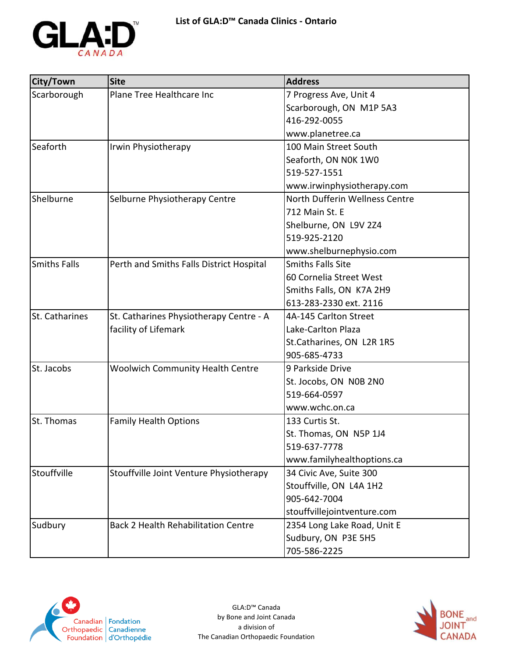

| City/Town           | <b>Site</b>                                | <b>Address</b>                 |
|---------------------|--------------------------------------------|--------------------------------|
| Scarborough         | Plane Tree Healthcare Inc                  | 7 Progress Ave, Unit 4         |
|                     |                                            | Scarborough, ON M1P 5A3        |
|                     |                                            | 416-292-0055                   |
|                     |                                            | www.planetree.ca               |
| Seaforth            | Irwin Physiotherapy                        | 100 Main Street South          |
|                     |                                            | Seaforth, ON NOK 1WO           |
|                     |                                            | 519-527-1551                   |
|                     |                                            | www.irwinphysiotherapy.com     |
| Shelburne           | Selburne Physiotherapy Centre              | North Dufferin Wellness Centre |
|                     |                                            | 712 Main St. E                 |
|                     |                                            | Shelburne, ON L9V 2Z4          |
|                     |                                            | 519-925-2120                   |
|                     |                                            | www.shelburnephysio.com        |
| <b>Smiths Falls</b> | Perth and Smiths Falls District Hospital   | <b>Smiths Falls Site</b>       |
|                     |                                            | 60 Cornelia Street West        |
|                     |                                            | Smiths Falls, ON K7A 2H9       |
|                     |                                            | 613-283-2330 ext. 2116         |
| St. Catharines      | St. Catharines Physiotherapy Centre - A    | 4A-145 Carlton Street          |
|                     | facility of Lifemark                       | Lake-Carlton Plaza             |
|                     |                                            | St.Catharines, ON L2R 1R5      |
|                     |                                            | 905-685-4733                   |
| St. Jacobs          | <b>Woolwich Community Health Centre</b>    | 9 Parkside Drive               |
|                     |                                            | St. Jocobs, ON N0B 2N0         |
|                     |                                            | 519-664-0597                   |
|                     |                                            | www.wchc.on.ca                 |
| St. Thomas          | <b>Family Health Options</b>               | 133 Curtis St.                 |
|                     |                                            | St. Thomas, ON N5P 1J4         |
|                     |                                            | 519-637-7778                   |
|                     |                                            | www.familyhealthoptions.ca     |
| Stouffville         | Stouffville Joint Venture Physiotherapy    | 34 Civic Ave, Suite 300        |
|                     |                                            | Stouffville, ON L4A 1H2        |
|                     |                                            | 905-642-7004                   |
|                     |                                            | stouffvillejointventure.com    |
| Sudbury             | <b>Back 2 Health Rehabilitation Centre</b> | 2354 Long Lake Road, Unit E    |
|                     |                                            | Sudbury, ON P3E 5H5            |
|                     |                                            | 705-586-2225                   |



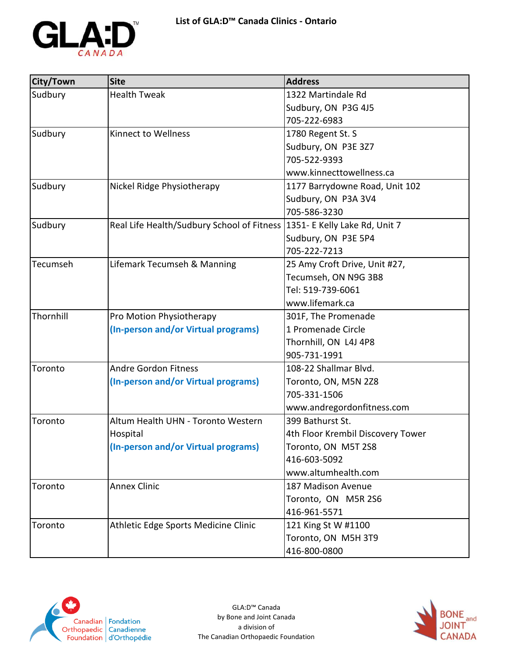

| City/Town | <b>Site</b>                                                                 | <b>Address</b>                    |
|-----------|-----------------------------------------------------------------------------|-----------------------------------|
| Sudbury   | <b>Health Tweak</b>                                                         | 1322 Martindale Rd                |
|           |                                                                             | Sudbury, ON P3G 4J5               |
|           |                                                                             | 705-222-6983                      |
| Sudbury   | Kinnect to Wellness                                                         | 1780 Regent St. S                 |
|           |                                                                             | Sudbury, ON P3E 3Z7               |
|           |                                                                             | 705-522-9393                      |
|           |                                                                             | www.kinnecttowellness.ca          |
| Sudbury   | Nickel Ridge Physiotherapy                                                  | 1177 Barrydowne Road, Unit 102    |
|           |                                                                             | Sudbury, ON P3A 3V4               |
|           |                                                                             | 705-586-3230                      |
| Sudbury   | Real Life Health/Sudbury School of Fitness   1351 - E Kelly Lake Rd, Unit 7 |                                   |
|           |                                                                             | Sudbury, ON P3E 5P4               |
|           |                                                                             | 705-222-7213                      |
| Tecumseh  | Lifemark Tecumseh & Manning                                                 | 25 Amy Croft Drive, Unit #27,     |
|           |                                                                             | Tecumseh, ON N9G 3B8              |
|           |                                                                             | Tel: 519-739-6061                 |
|           |                                                                             | www.lifemark.ca                   |
| Thornhill | Pro Motion Physiotherapy                                                    | 301F, The Promenade               |
|           | (In-person and/or Virtual programs)                                         | 1 Promenade Circle                |
|           |                                                                             | Thornhill, ON L4J 4P8             |
|           |                                                                             | 905-731-1991                      |
| Toronto   | <b>Andre Gordon Fitness</b>                                                 | 108-22 Shallmar Blvd.             |
|           | (In-person and/or Virtual programs)                                         | Toronto, ON, M5N 2Z8              |
|           |                                                                             | 705-331-1506                      |
|           |                                                                             | www.andregordonfitness.com        |
| Toronto   | Altum Health UHN - Toronto Western                                          | 399 Bathurst St.                  |
|           | Hospital                                                                    | 4th Floor Krembil Discovery Tower |
|           | (In-person and/or Virtual programs)                                         | Toronto, ON M5T 2S8               |
|           |                                                                             | 416-603-5092                      |
|           |                                                                             | www.altumhealth.com               |
| Toronto   | <b>Annex Clinic</b>                                                         | 187 Madison Avenue                |
|           |                                                                             | Toronto, ON M5R 2S6               |
|           |                                                                             | 416-961-5571                      |
| Toronto   | Athletic Edge Sports Medicine Clinic                                        | 121 King St W #1100               |
|           |                                                                             | Toronto, ON M5H 3T9               |
|           |                                                                             | 416-800-0800                      |



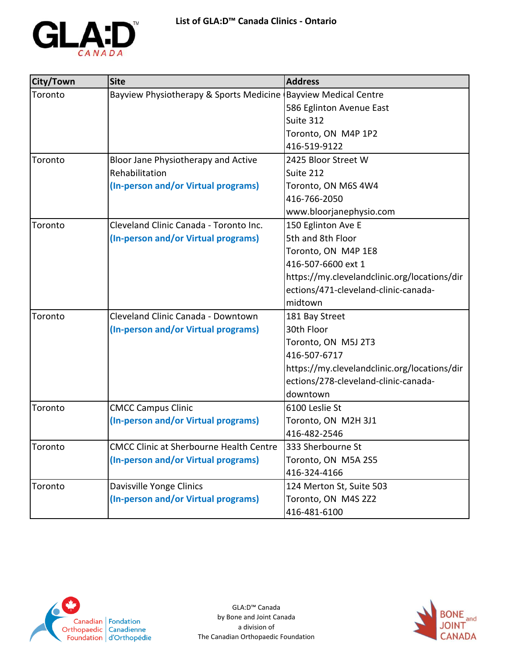

| City/Town | <b>Site</b>                                                     | <b>Address</b>                               |
|-----------|-----------------------------------------------------------------|----------------------------------------------|
| Toronto   | Bayview Physiotherapy & Sports Medicine (Bayview Medical Centre |                                              |
|           |                                                                 | 586 Eglinton Avenue East                     |
|           |                                                                 | Suite 312                                    |
|           |                                                                 | Toronto, ON M4P 1P2                          |
|           |                                                                 | 416-519-9122                                 |
| Toronto   | Bloor Jane Physiotherapy and Active                             | 2425 Bloor Street W                          |
|           | Rehabilitation                                                  | Suite 212                                    |
|           | (In-person and/or Virtual programs)                             | Toronto, ON M6S 4W4                          |
|           |                                                                 | 416-766-2050                                 |
|           |                                                                 | www.bloorjanephysio.com                      |
| Toronto   | Cleveland Clinic Canada - Toronto Inc.                          | 150 Eglinton Ave E                           |
|           | (In-person and/or Virtual programs)                             | 5th and 8th Floor                            |
|           |                                                                 | Toronto, ON M4P 1E8                          |
|           |                                                                 | 416-507-6600 ext 1                           |
|           |                                                                 | https://my.clevelandclinic.org/locations/dir |
|           |                                                                 | ections/471-cleveland-clinic-canada-         |
|           |                                                                 | midtown                                      |
| Toronto   | Cleveland Clinic Canada - Downtown                              | 181 Bay Street                               |
|           | (In-person and/or Virtual programs)                             | 30th Floor                                   |
|           |                                                                 | Toronto, ON M5J 2T3                          |
|           |                                                                 | 416-507-6717                                 |
|           |                                                                 | https://my.clevelandclinic.org/locations/dir |
|           |                                                                 | ections/278-cleveland-clinic-canada-         |
|           |                                                                 | downtown                                     |
| Toronto   | <b>CMCC Campus Clinic</b>                                       | 6100 Leslie St                               |
|           | (In-person and/or Virtual programs)                             | Toronto, ON M2H 3J1                          |
|           |                                                                 | 416-482-2546                                 |
| Toronto   | <b>CMCC Clinic at Sherbourne Health Centre</b>                  | 333 Sherbourne St                            |
|           | (In-person and/or Virtual programs)                             | Toronto, ON M5A 2S5                          |
|           |                                                                 | 416-324-4166                                 |
| Toronto   | Davisville Yonge Clinics                                        | 124 Merton St, Suite 503                     |
|           | (In-person and/or Virtual programs)                             | Toronto, ON M4S 2Z2                          |
|           |                                                                 | 416-481-6100                                 |



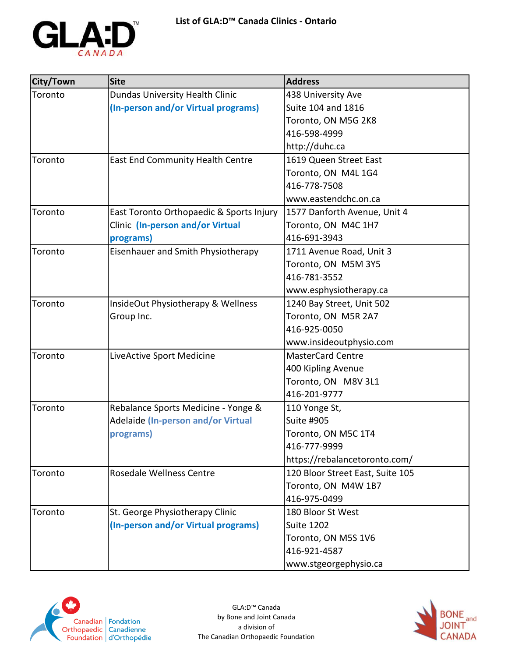

| City/Town | <b>Site</b>                              | <b>Address</b>                   |
|-----------|------------------------------------------|----------------------------------|
| Toronto   | <b>Dundas University Health Clinic</b>   | 438 University Ave               |
|           | (In-person and/or Virtual programs)      | Suite 104 and 1816               |
|           |                                          | Toronto, ON M5G 2K8              |
|           |                                          | 416-598-4999                     |
|           |                                          | http://duhc.ca                   |
| Toronto   | <b>East End Community Health Centre</b>  | 1619 Queen Street East           |
|           |                                          | Toronto, ON M4L 1G4              |
|           |                                          | 416-778-7508                     |
|           |                                          | www.eastendchc.on.ca             |
| Toronto   | East Toronto Orthopaedic & Sports Injury | 1577 Danforth Avenue, Unit 4     |
|           | Clinic (In-person and/or Virtual         | Toronto, ON M4C 1H7              |
|           | programs)                                | 416-691-3943                     |
| Toronto   | Eisenhauer and Smith Physiotherapy       | 1711 Avenue Road, Unit 3         |
|           |                                          | Toronto, ON M5M 3Y5              |
|           |                                          | 416-781-3552                     |
|           |                                          | www.esphysiotherapy.ca           |
| Toronto   | InsideOut Physiotherapy & Wellness       | 1240 Bay Street, Unit 502        |
|           | Group Inc.                               | Toronto, ON M5R 2A7              |
|           |                                          | 416-925-0050                     |
|           |                                          | www.insideoutphysio.com          |
| Toronto   | LiveActive Sport Medicine                | <b>MasterCard Centre</b>         |
|           |                                          | 400 Kipling Avenue               |
|           |                                          | Toronto, ON M8V 3L1              |
|           |                                          | 416-201-9777                     |
| Toronto   | Rebalance Sports Medicine - Yonge &      | 110 Yonge St,                    |
|           | Adelaide (In-person and/or Virtual       | Suite #905                       |
|           | programs)                                | Toronto, ON M5C 1T4              |
|           |                                          | 416-777-9999                     |
|           |                                          | https://rebalancetoronto.com/    |
| Toronto   | Rosedale Wellness Centre                 | 120 Bloor Street East, Suite 105 |
|           |                                          | Toronto, ON M4W 1B7              |
|           |                                          | 416-975-0499                     |
| Toronto   | St. George Physiotherapy Clinic          | 180 Bloor St West                |
|           | (In-person and/or Virtual programs)      | <b>Suite 1202</b>                |
|           |                                          | Toronto, ON M5S 1V6              |
|           |                                          | 416-921-4587                     |
|           |                                          | www.stgeorgephysio.ca            |



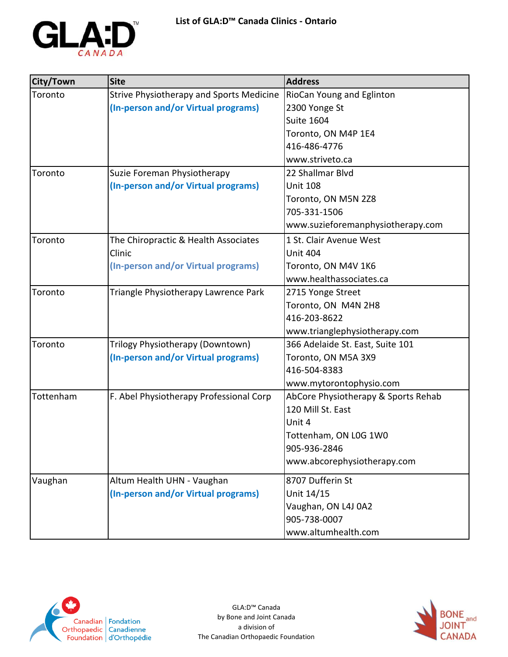

| City/Town | <b>Site</b>                                     | <b>Address</b>                      |
|-----------|-------------------------------------------------|-------------------------------------|
| Toronto   | <b>Strive Physiotherapy and Sports Medicine</b> | <b>RioCan Young and Eglinton</b>    |
|           | (In-person and/or Virtual programs)             | 2300 Yonge St                       |
|           |                                                 | <b>Suite 1604</b>                   |
|           |                                                 | Toronto, ON M4P 1E4                 |
|           |                                                 | 416-486-4776                        |
|           |                                                 | www.striveto.ca                     |
| Toronto   | Suzie Foreman Physiotherapy                     | 22 Shallmar Blvd                    |
|           | (In-person and/or Virtual programs)             | <b>Unit 108</b>                     |
|           |                                                 | Toronto, ON M5N 2Z8                 |
|           |                                                 | 705-331-1506                        |
|           |                                                 | www.suzieforemanphysiotherapy.com   |
| Toronto   | The Chiropractic & Health Associates            | 1 St. Clair Avenue West             |
|           | Clinic                                          | <b>Unit 404</b>                     |
|           | (In-person and/or Virtual programs)             | Toronto, ON M4V 1K6                 |
|           |                                                 | www.healthassociates.ca             |
| Toronto   | Triangle Physiotherapy Lawrence Park            | 2715 Yonge Street                   |
|           |                                                 | Toronto, ON M4N 2H8                 |
|           |                                                 | 416-203-8622                        |
|           |                                                 | www.trianglephysiotherapy.com       |
| Toronto   | Trilogy Physiotherapy (Downtown)                | 366 Adelaide St. East, Suite 101    |
|           | (In-person and/or Virtual programs)             | Toronto, ON M5A 3X9                 |
|           |                                                 | 416-504-8383                        |
|           |                                                 | www.mytorontophysio.com             |
| Tottenham | F. Abel Physiotherapy Professional Corp         | AbCore Physiotherapy & Sports Rehab |
|           |                                                 | 120 Mill St. East                   |
|           |                                                 | Unit 4                              |
|           |                                                 | Tottenham, ON L0G 1W0               |
|           |                                                 | 905-936-2846                        |
|           |                                                 | www.abcorephysiotherapy.com         |
| Vaughan   | Altum Health UHN - Vaughan                      | 8707 Dufferin St                    |
|           | (In-person and/or Virtual programs)             | Unit 14/15                          |
|           |                                                 | Vaughan, ON L4J 0A2                 |
|           |                                                 | 905-738-0007                        |
|           |                                                 | www.altumhealth.com                 |



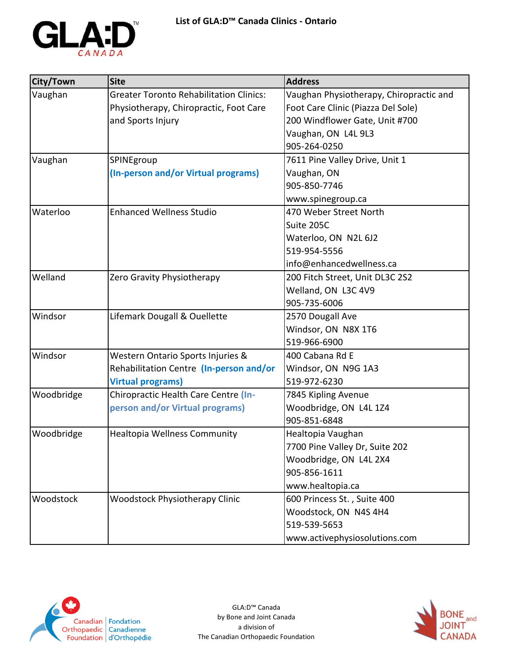

| City/Town  | <b>Site</b>                                    | <b>Address</b>                          |
|------------|------------------------------------------------|-----------------------------------------|
| Vaughan    | <b>Greater Toronto Rehabilitation Clinics:</b> | Vaughan Physiotherapy, Chiropractic and |
|            | Physiotherapy, Chiropractic, Foot Care         | Foot Care Clinic (Piazza Del Sole)      |
|            | and Sports Injury                              | 200 Windflower Gate, Unit #700          |
|            |                                                | Vaughan, ON L4L 9L3                     |
|            |                                                | 905-264-0250                            |
| Vaughan    | SPINEgroup                                     | 7611 Pine Valley Drive, Unit 1          |
|            | (In-person and/or Virtual programs)            | Vaughan, ON                             |
|            |                                                | 905-850-7746                            |
|            |                                                | www.spinegroup.ca                       |
| Waterloo   | <b>Enhanced Wellness Studio</b>                | 470 Weber Street North                  |
|            |                                                | Suite 205C                              |
|            |                                                | Waterloo, ON N2L 6J2                    |
|            |                                                | 519-954-5556                            |
|            |                                                | info@enhancedwellness.ca                |
| Welland    | Zero Gravity Physiotherapy                     | 200 Fitch Street, Unit DL3C 2S2         |
|            |                                                | Welland, ON L3C 4V9                     |
|            |                                                | 905-735-6006                            |
| Windsor    | Lifemark Dougall & Ouellette                   | 2570 Dougall Ave                        |
|            |                                                | Windsor, ON N8X 1T6                     |
|            |                                                | 519-966-6900                            |
| Windsor    | Western Ontario Sports Injuries &              | 400 Cabana Rd E                         |
|            | Rehabilitation Centre (In-person and/or        | Windsor, ON N9G 1A3                     |
|            | <b>Virtual programs)</b>                       | 519-972-6230                            |
| Woodbridge | Chiropractic Health Care Centre (In-           | 7845 Kipling Avenue                     |
|            | person and/or Virtual programs)                | Woodbridge, ON L4L 1Z4                  |
|            |                                                | 905-851-6848                            |
| Woodbridge | Healtopia Wellness Community                   | Healtopia Vaughan                       |
|            |                                                | 7700 Pine Valley Dr, Suite 202          |
|            |                                                | Woodbridge, ON L4L 2X4                  |
|            |                                                | 905-856-1611                            |
|            |                                                | www.healtopia.ca                        |
| Woodstock  | <b>Woodstock Physiotherapy Clinic</b>          | 600 Princess St., Suite 400             |
|            |                                                | Woodstock, ON N4S 4H4                   |
|            |                                                | 519-539-5653                            |
|            |                                                | www.activephysiosolutions.com           |